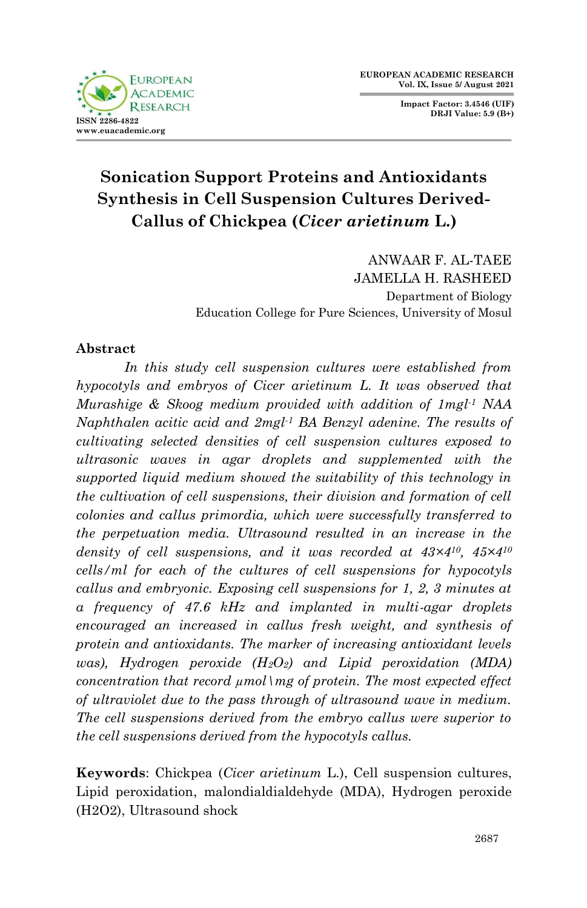

**Impact Factor: 3.4546 (UIF) DRJI Value: 5.9 (B+)**

# **Sonication Support Proteins and Antioxidants Synthesis in Cell Suspension Cultures Derived-Callus of Chickpea (***Cicer arietinum* **L.)**

ANWAAR F. AL-TAEE JAMELLA H. RASHEED Department of Biology Education College for Pure Sciences, University of Mosul

#### **Abstract**

*In this study cell suspension cultures were established from hypocotyls and embryos of Cicer arietinum L. It was observed that Murashige & Skoog medium provided with addition of 1mgl-1 NAA Naphthalen acitic acid and 2mgl-1 BA Benzyl adenine. The results of cultivating selected densities of cell suspension cultures exposed to ultrasonic waves in agar droplets and supplemented with the supported liquid medium showed the suitability of this technology in the cultivation of cell suspensions, their division and formation of cell colonies and callus primordia, which were successfully transferred to the perpetuation media. Ultrasound resulted in an increase in the density of cell suspensions, and it was recorded at 43×410, 45×4<sup>10</sup> cells/ml for each of the cultures of cell suspensions for hypocotyls callus and embryonic. Exposing cell suspensions for 1, 2, 3 minutes at a frequency of 47.6 kHz and implanted in multi-agar droplets encouraged an increased in callus fresh weight, and synthesis of protein and antioxidants. The marker of increasing antioxidant levels was), Hydrogen peroxide (H2O2) and Lipid peroxidation (MDA) concentration that record µmol\mg of protein. The most expected effect of ultraviolet due to the pass through of ultrasound wave in medium. The cell suspensions derived from the embryo callus were superior to the cell suspensions derived from the hypocotyls callus.* 

**Keywords**: Chickpea (*Cicer arietinum* L.), Cell suspension cultures, Lipid peroxidation, malondialdialdehyde (MDA), Hydrogen peroxide (H2O2), Ultrasound shock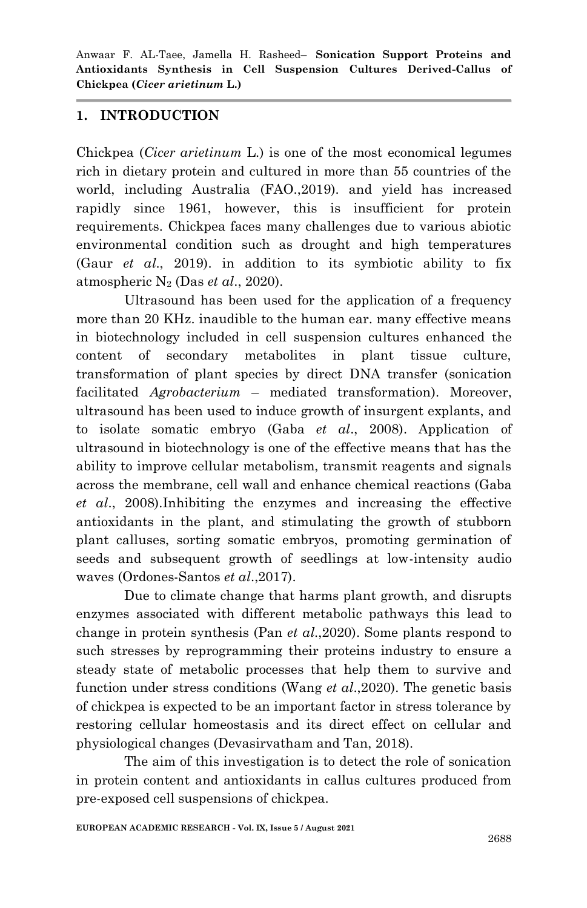#### **1. INTRODUCTION**

Chickpea (*Cicer arietinum* L.) is one of the most economical legumes rich in dietary protein and cultured in more than 55 countries of the world, including Australia (FAO.,2019). and yield has increased rapidly since 1961, however, this is insufficient for protein requirements. Chickpea faces many challenges due to various abiotic environmental condition such as drought and high temperatures (Gaur *et al*., 2019). in addition to its symbiotic ability to fix atmospheric N<sup>2</sup> (Das *et al*., 2020).

Ultrasound has been used for the application of a frequency more than 20 KHz. inaudible to the human ear. many effective means in biotechnology included in cell suspension cultures enhanced the content of secondary metabolites in plant tissue culture, transformation of plant species by direct DNA transfer (sonication facilitated *Agrobacterium* – mediated transformation). Moreover, ultrasound has been used to induce growth of insurgent explants, and to isolate somatic embryo (Gaba *et al*., 2008). Application of ultrasound in biotechnology is one of the effective means that has the ability to improve cellular metabolism, transmit reagents and signals across the membrane, cell wall and enhance chemical reactions (Gaba *et al*., 2008).Inhibiting the enzymes and increasing the effective antioxidants in the plant, and stimulating the growth of stubborn plant calluses, sorting somatic embryos, promoting germination of seeds and subsequent growth of seedlings at low-intensity audio waves (Ordones-Santos *et al*.,2017).

Due to climate change that harms plant growth, and disrupts enzymes associated with different metabolic pathways this lead to change in protein synthesis (Pan *et al*.,2020). Some plants respond to such stresses by reprogramming their proteins industry to ensure a steady state of metabolic processes that help them to survive and function under stress conditions (Wang *et al*.,2020). The genetic basis of chickpea is expected to be an important factor in stress tolerance by restoring cellular homeostasis and its direct effect on cellular and physiological changes (Devasirvatham and Tan, 2018).

The aim of this investigation is to detect the role of sonication in protein content and antioxidants in callus cultures produced from pre-exposed cell suspensions of chickpea.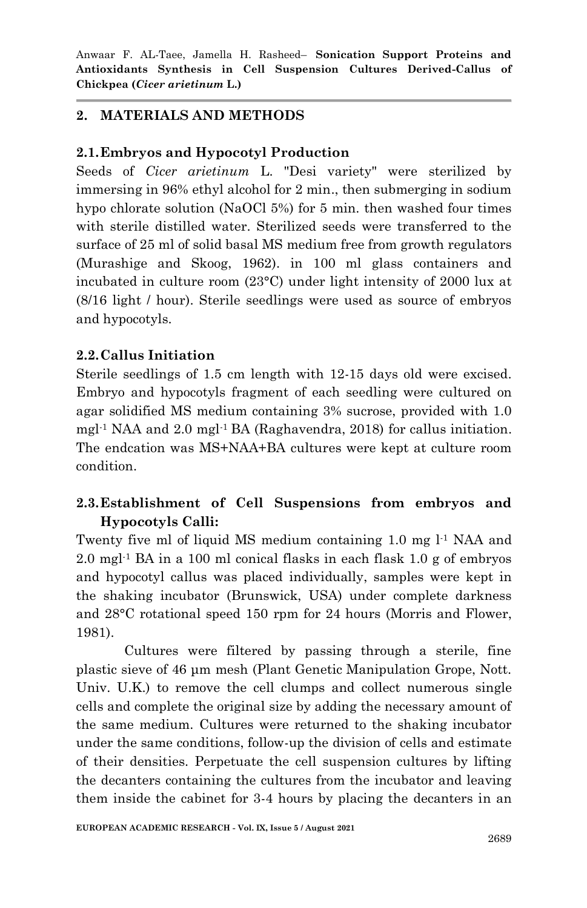# **2. MATERIALS AND METHODS**

## **2.1.Embryos and Hypocotyl Production**

Seeds of *Cicer arietinum* L. "Desi variety" were sterilized by immersing in 96% ethyl alcohol for 2 min., then submerging in sodium hypo chlorate solution (NaOCl 5%) for 5 min. then washed four times with sterile distilled water. Sterilized seeds were transferred to the surface of 25 ml of solid basal MS medium free from growth regulators (Murashige and Skoog, 1962). in 100 ml glass containers and incubated in culture room (23°C) under light intensity of 2000 lux at (8/16 light / hour). Sterile seedlings were used as source of embryos and hypocotyls.

## **2.2.Callus Initiation**

Sterile seedlings of 1.5 cm length with 12-15 days old were excised. Embryo and hypocotyls fragment of each seedling were cultured on agar solidified MS medium containing 3% sucrose, provided with 1.0 mgl-1 NAA and 2.0 mgl-1 BA (Raghavendra, 2018) for callus initiation. The endcation was MS+NAA+BA cultures were kept at culture room condition.

# **2.3.Establishment of Cell Suspensions from embryos and Hypocotyls Calli:**

Twenty five ml of liquid MS medium containing 1.0 mg l<sup>-1</sup> NAA and 2.0 mgl -1 BA in a 100 ml conical flasks in each flask 1.0 g of embryos and hypocotyl callus was placed individually, samples were kept in the shaking incubator (Brunswick, USA) under complete darkness and 28°C rotational speed 150 rpm for 24 hours (Morris and Flower, 1981).

Cultures were filtered by passing through a sterile, fine plastic sieve of 46 μm mesh (Plant Genetic Manipulation Grope, Nott. Univ. U.K.) to remove the cell clumps and collect numerous single cells and complete the original size by adding the necessary amount of the same medium. Cultures were returned to the shaking incubator under the same conditions, follow-up the division of cells and estimate of their densities. Perpetuate the cell suspension cultures by lifting the decanters containing the cultures from the incubator and leaving them inside the cabinet for 3-4 hours by placing the decanters in an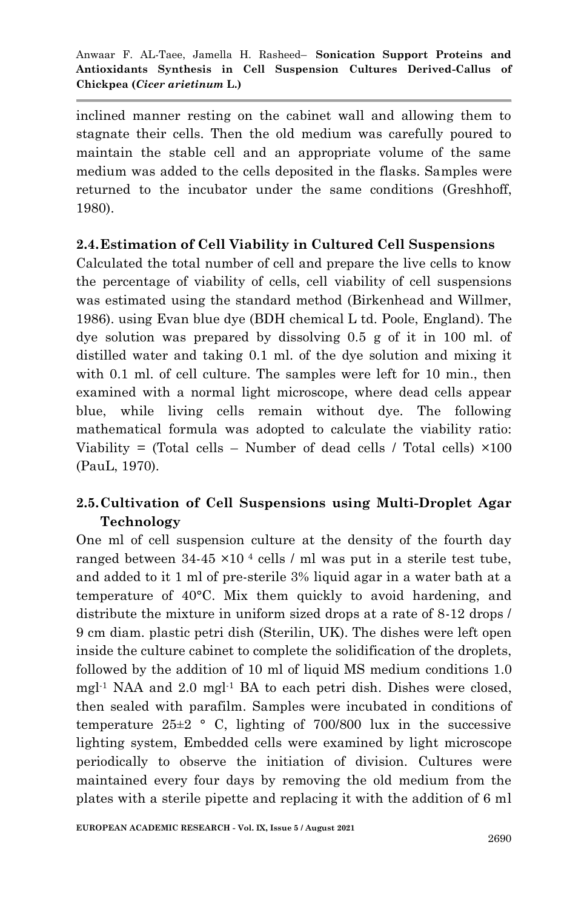inclined manner resting on the cabinet wall and allowing them to stagnate their cells. Then the old medium was carefully poured to maintain the stable cell and an appropriate volume of the same medium was added to the cells deposited in the flasks. Samples were returned to the incubator under the same conditions (Greshhoff, 1980).

#### **2.4.Estimation of Cell Viability in Cultured Cell Suspensions**

Calculated the total number of cell and prepare the live cells to know the percentage of viability of cells, cell viability of cell suspensions was estimated using the standard method (Birkenhead and Willmer, 1986). using Evan blue dye (BDH chemical L td. Poole, England). The dye solution was prepared by dissolving 0.5 g of it in 100 ml. of distilled water and taking 0.1 ml. of the dye solution and mixing it with 0.1 ml. of cell culture. The samples were left for 10 min., then examined with a normal light microscope, where dead cells appear blue, while living cells remain without dye. The following mathematical formula was adopted to calculate the viability ratio: Viability = (Total cells – Number of dead cells / Total cells)  $\times$ 100 (PauL, 1970).

# **2.5.Cultivation of Cell Suspensions using Multi-Droplet Agar Technology**

One ml of cell suspension culture at the density of the fourth day ranged between  $34-45 \times 10^{-4}$  cells / ml was put in a sterile test tube, and added to it 1 ml of pre-sterile 3% liquid agar in a water bath at a temperature of 40°C. Mix them quickly to avoid hardening, and distribute the mixture in uniform sized drops at a rate of 8-12 drops / 9 cm diam. plastic petri dish (Sterilin, UK). The dishes were left open inside the culture cabinet to complete the solidification of the droplets, followed by the addition of 10 ml of liquid MS medium conditions 1.0 mgl -1 NAA and 2.0 mgl -1 BA to each petri dish. Dishes were closed, then sealed with parafilm. Samples were incubated in conditions of temperature  $25\pm2$  ° C, lighting of 700/800 lux in the successive lighting system, Embedded cells were examined by light microscope periodically to observe the initiation of division. Cultures were maintained every four days by removing the old medium from the plates with a sterile pipette and replacing it with the addition of 6 ml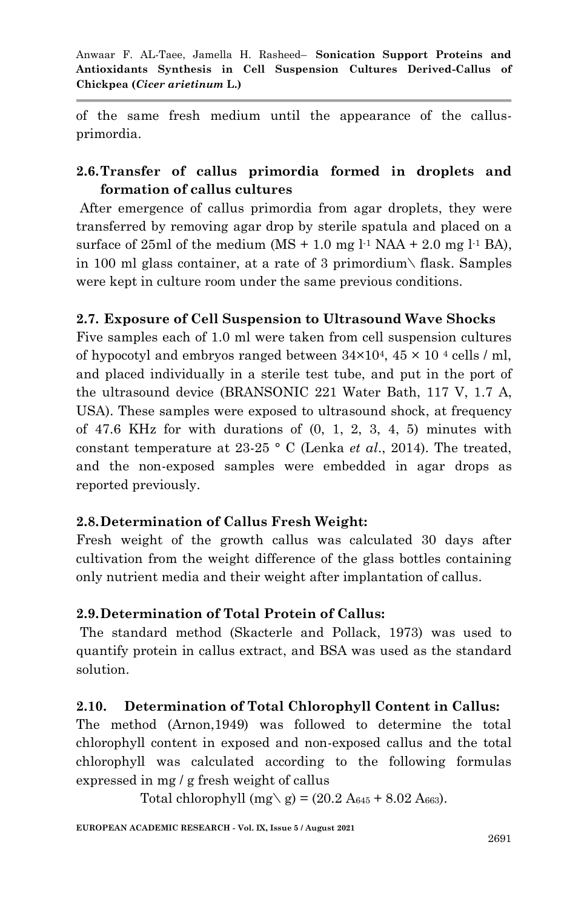of the same fresh medium until the appearance of the callusprimordia.

# **2.6.Transfer of callus primordia formed in droplets and formation of callus cultures**

After emergence of callus primordia from agar droplets, they were transferred by removing agar drop by sterile spatula and placed on a surface of  $25ml$  of the medium  $(MS + 1.0$  mg  $l<sup>-1</sup> NAA + 2.0$  mg  $l<sup>-1</sup> BA$ ), in 100 ml glass container, at a rate of 3 primordium\ flask. Samples were kept in culture room under the same previous conditions.

# **2.7. Exposure of Cell Suspension to Ultrasound Wave Shocks**

Five samples each of 1.0 ml were taken from cell suspension cultures of hypocotyl and embryos ranged between  $34\times10^4$ ,  $45\times10^4$  cells / ml, and placed individually in a sterile test tube, and put in the port of the ultrasound device (BRANSONIC 221 Water Bath, 117 V, 1.7 A, USA). These samples were exposed to ultrasound shock, at frequency of 47.6 KHz for with durations of (0, 1, 2, 3, 4, 5) minutes with constant temperature at 23-25 ° C (Lenka *et al*., 2014). The treated, and the non-exposed samples were embedded in agar drops as reported previously.

# **2.8.Determination of Callus Fresh Weight:**

Fresh weight of the growth callus was calculated 30 days after cultivation from the weight difference of the glass bottles containing only nutrient media and their weight after implantation of callus.

# **2.9.Determination of Total Protein of Callus:**

The standard method (Skacterle and Pollack, 1973) was used to quantify protein in callus extract, and BSA was used as the standard solution.

# **2.10. Determination of Total Chlorophyll Content in Callus:**

The method (Arnon,1949) was followed to determine the total chlorophyll content in exposed and non-exposed callus and the total chlorophyll was calculated according to the following formulas expressed in mg / g fresh weight of callus

Total chlorophyll (mg \ g) =  $(20.2 A_{645} + 8.02 A_{663})$ .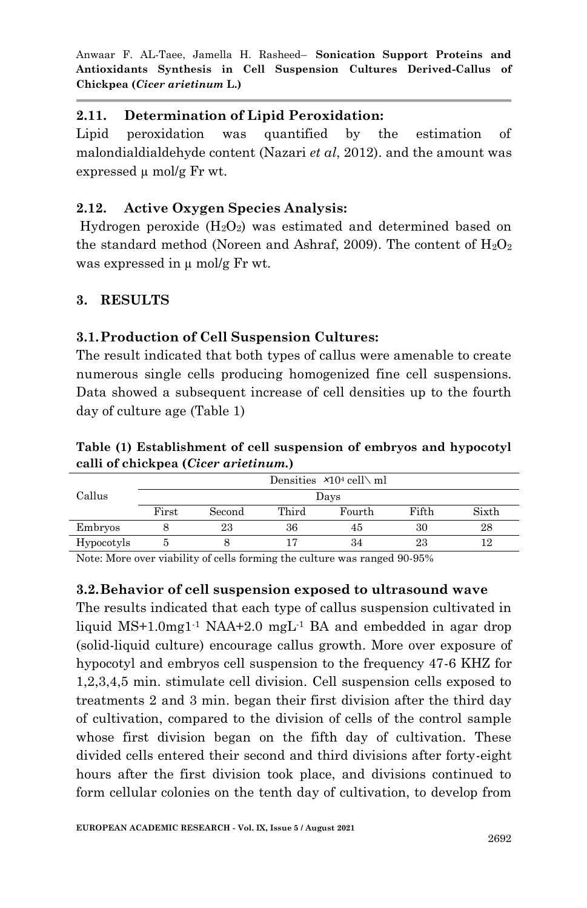## **2.11. Determination of Lipid Peroxidation:**

Lipid peroxidation was quantified by the estimation of malondialdialdehyde content (Nazari *et al*, 2012). and the amount was expressed  $\mu$  mol/g Fr wt.

## **2.12. Active Oxygen Species Analysis:**

Hydrogen peroxide  $(H_2O_2)$  was estimated and determined based on the standard method (Noreen and Ashraf, 2009). The content of  $H_2O_2$ was expressed in  $\mu$  mol/g Fr wt.

## **3. RESULTS**

## **3.1.Production of Cell Suspension Cultures:**

The result indicated that both types of callus were amenable to create numerous single cells producing homogenized fine cell suspensions. Data showed a subsequent increase of cell densities up to the fourth day of culture age (Table 1)

**Table (1) Establishment of cell suspension of embryos and hypocotyl calli of chickpea (***Cicer arietinum.***)**

| Callus     | Densities $\times 10^4$ cell \ ml |        |       |        |       |       |
|------------|-----------------------------------|--------|-------|--------|-------|-------|
|            | Days                              |        |       |        |       |       |
|            | First                             | Second | Third | Fourth | Fifth | Sixth |
| Embryos    |                                   | 23     | 36    | 45     | 30    | 28    |
| Hypocotyls |                                   |        |       | 34     | 23    | 12    |

Note: More over viability of cells forming the culture was ranged 90-95%

#### **3.2.Behavior of cell suspension exposed to ultrasound wave**

The results indicated that each type of callus suspension cultivated in liquid  $MS+1.0$ mg $1<sup>-1</sup>$  NAA $+2.0$  mg $L<sup>-1</sup>$  BA and embedded in agar drop (solid-liquid culture) encourage callus growth. More over exposure of hypocotyl and embryos cell suspension to the frequency 47-6 KHZ for 1,2,3,4,5 min. stimulate cell division. Cell suspension cells exposed to treatments 2 and 3 min. began their first division after the third day of cultivation, compared to the division of cells of the control sample whose first division began on the fifth day of cultivation. These divided cells entered their second and third divisions after forty-eight hours after the first division took place, and divisions continued to form cellular colonies on the tenth day of cultivation, to develop from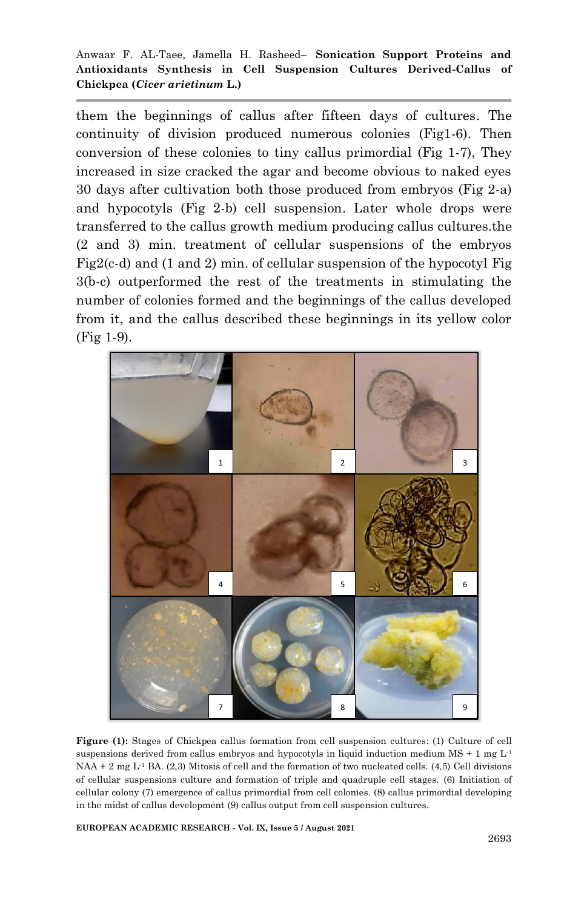them the beginnings of callus after fifteen days of cultures. The continuity of division produced numerous colonies (Fig1-6). Then conversion of these colonies to tiny callus primordial (Fig 1-7), They increased in size cracked the agar and become obvious to naked eyes 30 days after cultivation both those produced from embryos (Fig 2-a) and hypocotyls (Fig 2-b) cell suspension. Later whole drops were transferred to the callus growth medium producing callus cultures.the (2 and 3) min. treatment of cellular suspensions of the embryos Fig2(c-d) and (1 and 2) min. of cellular suspension of the hypocotyl Fig 3(b-c) outperformed the rest of the treatments in stimulating the number of colonies formed and the beginnings of the callus developed from it, and the callus described these beginnings in its yellow color (Fig 1-9).



**Figure (1):** Stages of Chickpea callus formation from cell suspension cultures: (1) Culture of cell suspensions derived from callus embryos and hypocotyls in liquid induction medium  $MS + 1$  mg  $L<sup>1</sup>$  $NAA + 2$  mg L<sup>-1</sup> BA. (2,3) Mitosis of cell and the formation of two nucleated cells. (4,5) Cell divisions of cellular suspensions culture and formation of triple and quadruple cell stages. (6) Initiation of cellular colony (7) emergence of callus primordial from cell colonies. (8) callus primordial developing in the midst of callus development (9) callus output from cell suspension cultures.

**EUROPEAN ACADEMIC RESEARCH - Vol. IX, Issue 5 / August 2021**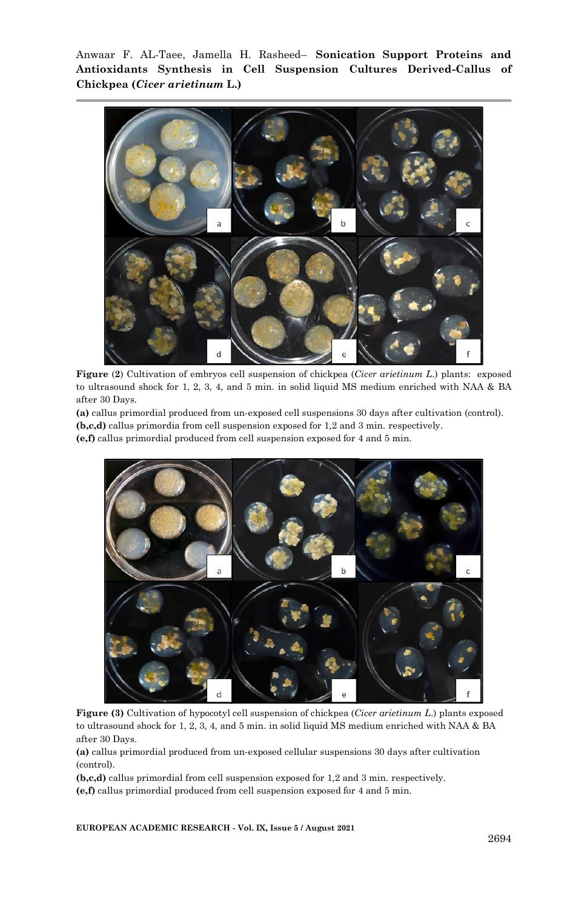

**Figure** (**2**) Cultivation of embryos cell suspension of chickpea (*Cicer arietinum L*.) plants: exposed to ultrasound shock for 1, 2, 3, 4, and 5 min. in solid liquid MS medium enriched with NAA & BA after 30 Days.

**(a)** callus primordial produced from un-exposed cell suspensions 30 days after cultivation (control). **(b,c,d)** callus primordia from cell suspension exposed for 1,2 and 3 min. respectively.

**(e,f)** callus primordial produced from cell suspension exposed for 4 and 5 min.



**Figure (3)** Cultivation of hypocotyl cell suspension of chickpea (*Cicer arietinum L*.) plants exposed to ultrasound shock for 1, 2, 3, 4, and 5 min. in solid liquid MS medium enriched with NAA & BA after 30 Days.

**(a)** callus primordial produced from un-exposed cellular suspensions 30 days after cultivation (control).

**(b,c,d)** callus primordial from cell suspension exposed for 1,2 and 3 min. respectively. **(e,f)** callus primordial produced from cell suspension exposed for 4 and 5 min.

**EUROPEAN ACADEMIC RESEARCH - Vol. IX, Issue 5 / August 2021**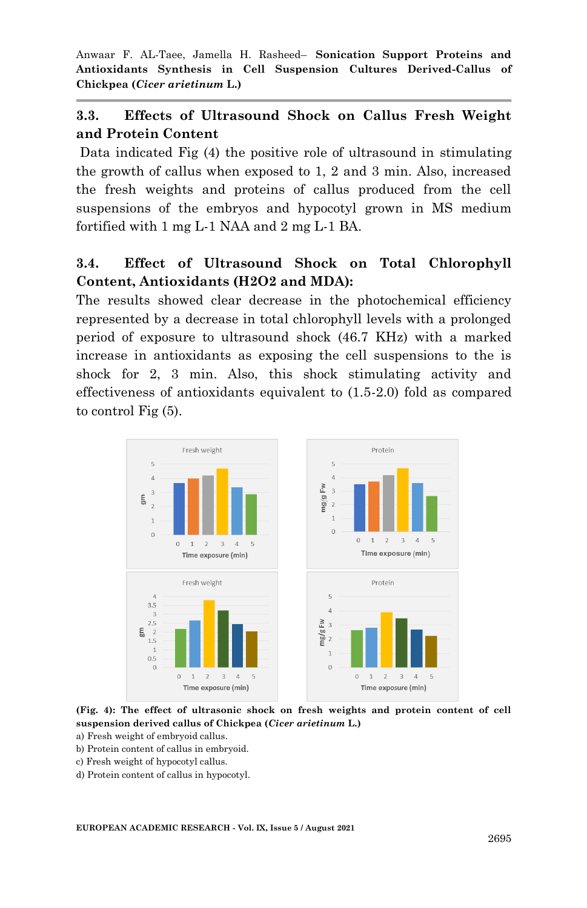# **3.3. Effects of Ultrasound Shock on Callus Fresh Weight and Protein Content**

Data indicated Fig (4) the positive role of ultrasound in stimulating the growth of callus when exposed to 1, 2 and 3 min. Also, increased the fresh weights and proteins of callus produced from the cell suspensions of the embryos and hypocotyl grown in MS medium fortified with 1 mg L-1 NAA and 2 mg L-1 BA.

# **3.4. Effect of Ultrasound Shock on Total Chlorophyll Content, Antioxidants (H2O2 and MDA):**

The results showed clear decrease in the photochemical efficiency represented by a decrease in total chlorophyll levels with a prolonged period of exposure to ultrasound shock (46.7 KHz) with a marked increase in antioxidants as exposing the cell suspensions to the is shock for 2, 3 min. Also, this shock stimulating activity and effectiveness of antioxidants equivalent to (1.5-2.0) fold as compared to control Fig (5).



**(Fig. 4): The effect of ultrasonic shock on fresh weights and protein content of cell suspension derived callus of Chickpea (***Cicer arietinum* **L.)**

a) Fresh weight of embryoid callus.

- b) Protein content of callus in embryoid.
- c) Fresh weight of hypocotyl callus.
- d) Protein content of callus in hypocotyl.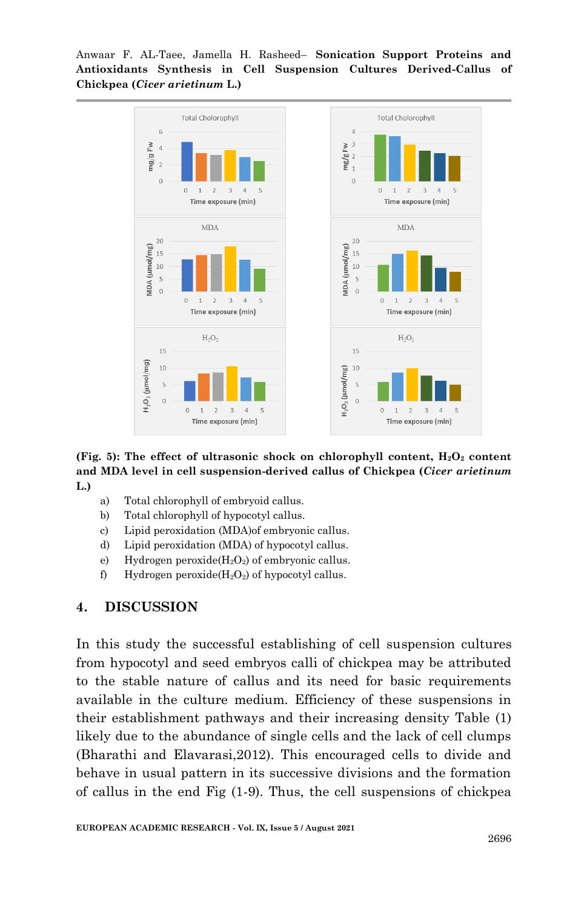

**(Fig. 5):** The effect of ultrasonic shock on chlorophyll content,  $H_2O_2$  content **and MDA level in cell suspension-derived callus of Chickpea (***Cicer arietinum* **L.)**

- a) Total chlorophyll of embryoid callus.
- b) Total chlorophyll of hypocotyl callus.
- c) Lipid peroxidation (MDA)of embryonic callus.
- d) Lipid peroxidation (MDA) of hypocotyl callus.
- e) Hydrogen peroxide( $H_2O_2$ ) of embryonic callus.
- f) Hydrogen peroxide( $H_2O_2$ ) of hypocotyl callus.

#### **4. DISCUSSION**

In this study the successful establishing of cell suspension cultures from hypocotyl and seed embryos calli of chickpea may be attributed to the stable nature of callus and its need for basic requirements available in the culture medium. Efficiency of these suspensions in their establishment pathways and their increasing density Table (1) likely due to the abundance of single cells and the lack of cell clumps (Bharathi and Elavarasi,2012). This encouraged cells to divide and behave in usual pattern in its successive divisions and the formation of callus in the end Fig (1-9). Thus, the cell suspensions of chickpea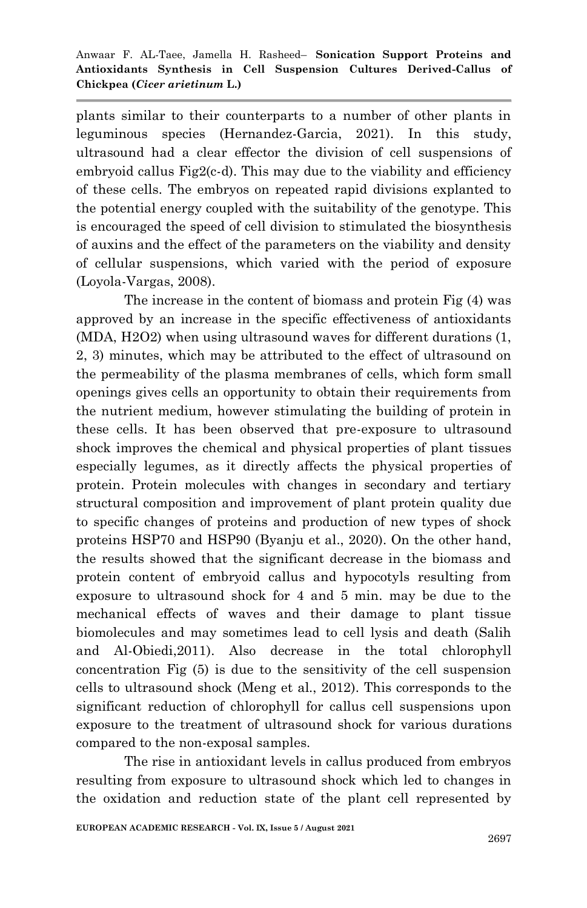plants similar to their counterparts to a number of other plants in leguminous species (Hernandez-Garcia, 2021). In this study, ultrasound had a clear effector the division of cell suspensions of embryoid callus Fig2(c-d). This may due to the viability and efficiency of these cells. The embryos on repeated rapid divisions explanted to the potential energy coupled with the suitability of the genotype. This is encouraged the speed of cell division to stimulated the biosynthesis of auxins and the effect of the parameters on the viability and density of cellular suspensions, which varied with the period of exposure (Loyola-Vargas, 2008).

The increase in the content of biomass and protein Fig (4) was approved by an increase in the specific effectiveness of antioxidants (MDA, H2O2) when using ultrasound waves for different durations (1, 2, 3) minutes, which may be attributed to the effect of ultrasound on the permeability of the plasma membranes of cells, which form small openings gives cells an opportunity to obtain their requirements from the nutrient medium, however stimulating the building of protein in these cells. It has been observed that pre-exposure to ultrasound shock improves the chemical and physical properties of plant tissues especially legumes, as it directly affects the physical properties of protein. Protein molecules with changes in secondary and tertiary structural composition and improvement of plant protein quality due to specific changes of proteins and production of new types of shock proteins HSP70 and HSP90 (Byanju et al., 2020). On the other hand, the results showed that the significant decrease in the biomass and protein content of embryoid callus and hypocotyls resulting from exposure to ultrasound shock for 4 and 5 min. may be due to the mechanical effects of waves and their damage to plant tissue biomolecules and may sometimes lead to cell lysis and death (Salih and Al-Obiedi,2011). Also decrease in the total chlorophyll concentration Fig (5) is due to the sensitivity of the cell suspension cells to ultrasound shock (Meng et al., 2012). This corresponds to the significant reduction of chlorophyll for callus cell suspensions upon exposure to the treatment of ultrasound shock for various durations compared to the non-exposal samples.

The rise in antioxidant levels in callus produced from embryos resulting from exposure to ultrasound shock which led to changes in the oxidation and reduction state of the plant cell represented by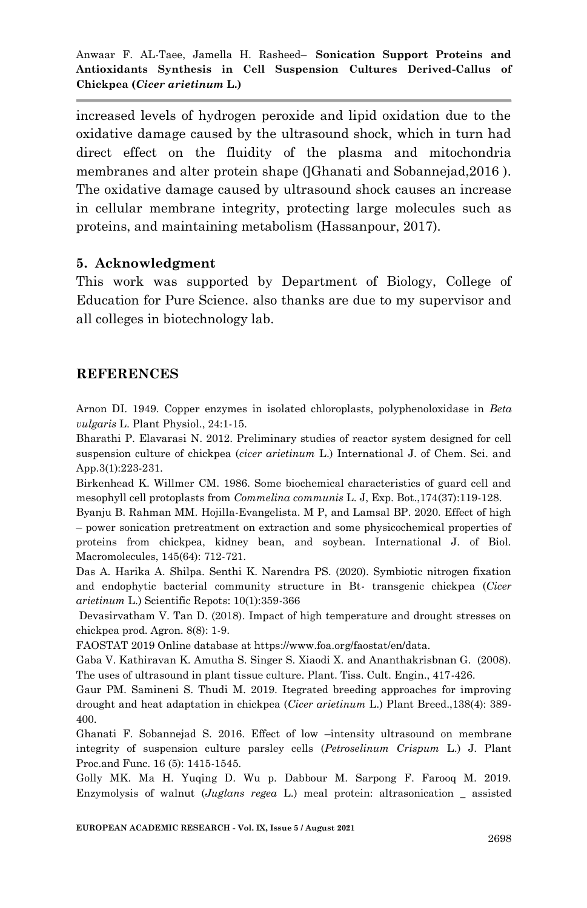increased levels of hydrogen peroxide and lipid oxidation due to the oxidative damage caused by the ultrasound shock, which in turn had direct effect on the fluidity of the plasma and mitochondria membranes and alter protein shape ([Ghanati and Sobannejad, 2016). The oxidative damage caused by ultrasound shock causes an increase in cellular membrane integrity, protecting large molecules such as proteins, and maintaining metabolism (Hassanpour, 2017).

#### **5. Acknowledgment**

This work was supported by Department of Biology, College of Education for Pure Science. also thanks are due to my supervisor and all colleges in biotechnology lab.

#### **REFERENCES**

Arnon DI. 1949. Copper enzymes in isolated chloroplasts, polyphenoloxidase in *Beta vulgaris* L. Plant Physiol., 24:1-15.

Bharathi P. Elavarasi N. 2012. Preliminary studies of reactor system designed for cell suspension culture of chickpea (*cicer arietinum* L.) International J. of Chem. Sci. and App.3(1):223-231.

Birkenhead K. Willmer CM. 1986. Some biochemical characteristics of guard cell and mesophyll cell protoplasts from *Commelina communis* L. J, Exp. Bot.,174(37):119-128.

Byanju B. Rahman MM. Hojilla-Evangelista. M P, and Lamsal BP. 2020. Effect of high – power sonication pretreatment on extraction and some physicochemical properties of proteins from chickpea, kidney bean, and soybean. International J. of Biol. Macromolecules, 145(64): 712-721.

Das A. Harika A. Shilpa. Senthi K. Narendra PS. (2020). Symbiotic nitrogen fixation and endophytic bacterial community structure in Bt- transgenic chickpea (*Cicer arietinum* L.) Scientific Repots: 10(1):359-366

Devasirvatham V. Tan D. (2018). Impact of high temperature and drought stresses on chickpea prod. Agron. 8(8): 1-9.

FAOSTAT 2019 Online database at https://www.foa.org/faostat/en/data.

Gaba V. Kathiravan K. Amutha S. Singer S. Xiaodi X. and Ananthakrisbnan G. (2008). The uses of ultrasound in plant tissue culture. Plant. Tiss. Cult. Engin., 417-426.

Gaur PM. Samineni S. Thudi M. 2019. Itegrated breeding approaches for improving drought and heat adaptation in chickpea (*Cicer arietinum* L.) Plant Breed.,138(4): 389- 400.

Ghanati F. Sobannejad S. 2016. Effect of low –intensity ultrasound on membrane integrity of suspension culture parsley cells (*Petroselinum Crispum* L.) J. Plant Proc.and Func. 16 (5): 1415-1545.

Golly MK. Ma H. Yuqing D. Wu p. Dabbour M. Sarpong F. Farooq M. 2019. Enzymolysis of walnut (*Juglans regea* L.) meal protein: altrasonication \_ assisted